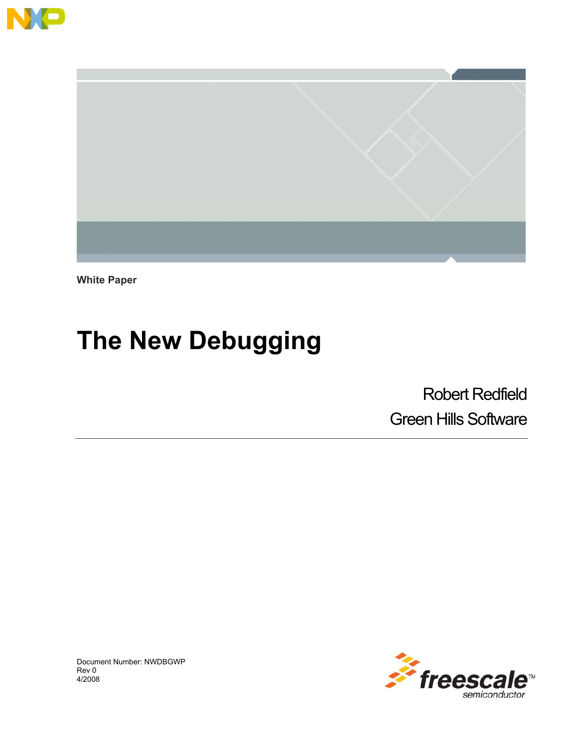



**White Paper** 

# **The New Debugging**

Robert Redfield Green Hills Software



Document Number: NWDBGWP Rev 0 4/2008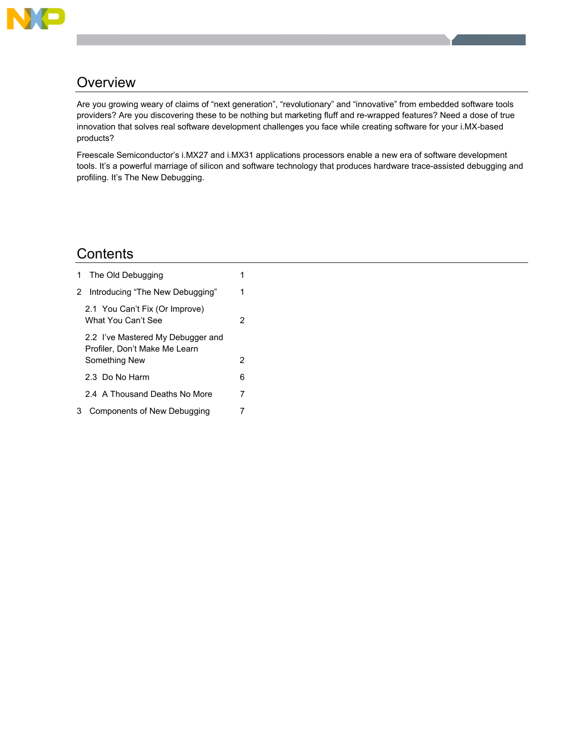

# **Overview**

Are you growing weary of claims of "next generation", "revolutionary" and "innovative" from embedded software tools providers? Are you discovering these to be nothing but marketing fluff and re-wrapped features? Need a dose of true innovation that solves real software development challenges you face while creating software for your i.MX-based products?

Freescale Semiconductor's i.MX27 and i.MX31 applications processors enable a new era of software development tools. It's a powerful marriage of silicon and software technology that produces hardware trace-assisted debugging and profiling. It's The New Debugging.

# **Contents**

| 1. | The Old Debugging                                                                   |   |
|----|-------------------------------------------------------------------------------------|---|
| 2  | Introducing "The New Debugging"                                                     | 1 |
|    | 2.1 You Can't Fix (Or Improve)<br>What You Can't See                                | 2 |
|    | 2.2 I've Mastered My Debugger and<br>Profiler, Don't Make Me Learn<br>Something New | 2 |
|    | 2.3 Do No Harm                                                                      | 6 |
|    | 2.4 A Thousand Deaths No More                                                       | 7 |
| 3  | Components of New Debugging                                                         |   |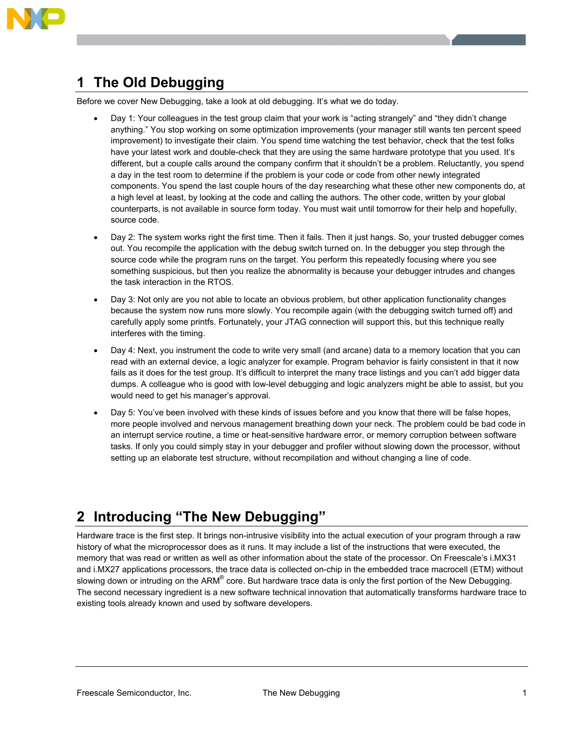

# **1 The Old Debugging**

Before we cover New Debugging, take a look at old debugging. It's what we do today.

- Day 1: Your colleagues in the test group claim that your work is "acting strangely" and "they didn't change anything." You stop working on some optimization improvements (your manager still wants ten percent speed improvement) to investigate their claim. You spend time watching the test behavior, check that the test folks have your latest work and double-check that they are using the same hardware prototype that you used. It's different, but a couple calls around the company confirm that it shouldn't be a problem. Reluctantly, you spend a day in the test room to determine if the problem is your code or code from other newly integrated components. You spend the last couple hours of the day researching what these other new components do, at a high level at least, by looking at the code and calling the authors. The other code, written by your global counterparts, is not available in source form today. You must wait until tomorrow for their help and hopefully, source code.
- Day 2: The system works right the first time. Then it fails. Then it just hangs. So, your trusted debugger comes out. You recompile the application with the debug switch turned on. In the debugger you step through the source code while the program runs on the target. You perform this repeatedly focusing where you see something suspicious, but then you realize the abnormality is because your debugger intrudes and changes the task interaction in the RTOS.
- ! Day 3: Not only are you not able to locate an obvious problem, but other application functionality changes because the system now runs more slowly. You recompile again (with the debugging switch turned off) and carefully apply some printfs. Fortunately, your JTAG connection will support this, but this technique really interferes with the timing.
- ! Day 4: Next, you instrument the code to write very small (and arcane) data to a memory location that you can read with an external device, a logic analyzer for example. Program behavior is fairly consistent in that it now fails as it does for the test group. It's difficult to interpret the many trace listings and you can't add bigger data dumps. A colleague who is good with low-level debugging and logic analyzers might be able to assist, but you would need to get his manager's approval.
- ! Day 5: You've been involved with these kinds of issues before and you know that there will be false hopes, more people involved and nervous management breathing down your neck. The problem could be bad code in an interrupt service routine, a time or heat-sensitive hardware error, or memory corruption between software tasks. If only you could simply stay in your debugger and profiler without slowing down the processor, without setting up an elaborate test structure, without recompilation and without changing a line of code.

# **2 Introducing "The New Debugging"**

Hardware trace is the first step. It brings non-intrusive visibility into the actual execution of your program through a raw history of what the microprocessor does as it runs. It may include a list of the instructions that were executed, the memory that was read or written as well as other information about the state of the processor. On Freescale's i.MX31 and i.MX27 applications processors, the trace data is collected on-chip in the embedded trace macrocell (ETM) without slowing down or intruding on the ARM® core. But hardware trace data is only the first portion of the New Debugging. The second necessary ingredient is a new software technical innovation that automatically transforms hardware trace to existing tools already known and used by software developers.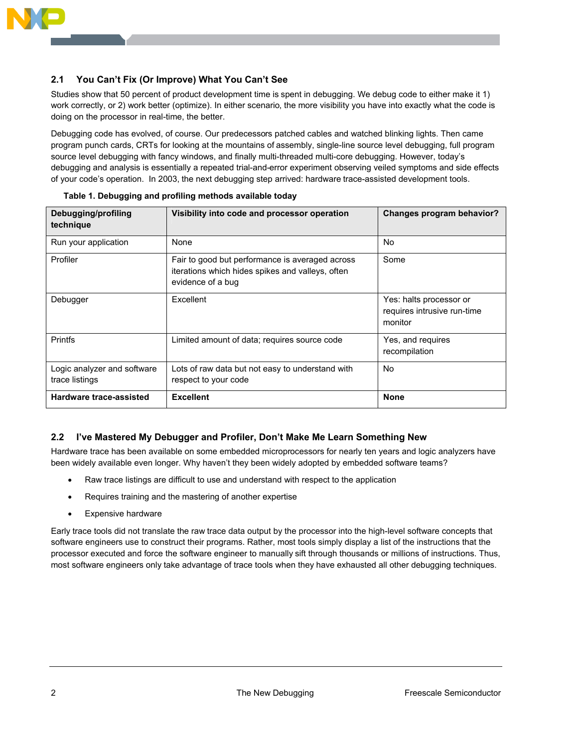

### **2.1 You Can't Fix (Or Improve) What You Can't See**

Studies show that 50 percent of product development time is spent in debugging. We debug code to either make it 1) work correctly, or 2) work better (optimize). In either scenario, the more visibility you have into exactly what the code is doing on the processor in real-time, the better.

Debugging code has evolved, of course. Our predecessors patched cables and watched blinking lights. Then came program punch cards, CRTs for looking at the mountains of assembly, single-line source level debugging, full program source level debugging with fancy windows, and finally multi-threaded multi-core debugging. However, today's debugging and analysis is essentially a repeated trial-and-error experiment observing veiled symptoms and side effects of your code's operation. In 2003, the next debugging step arrived: hardware trace-assisted development tools.

| Debugging/profiling<br>technique              | Visibility into code and processor operation                                                                             | <b>Changes program behavior?</b>                                  |  |  |
|-----------------------------------------------|--------------------------------------------------------------------------------------------------------------------------|-------------------------------------------------------------------|--|--|
| Run your application                          | None                                                                                                                     | No.                                                               |  |  |
| Profiler                                      | Fair to good but performance is averaged across<br>iterations which hides spikes and valleys, often<br>evidence of a bug | Some                                                              |  |  |
| Debugger                                      | <b>Excellent</b>                                                                                                         | Yes: halts processor or<br>requires intrusive run-time<br>monitor |  |  |
| <b>Printfs</b>                                | Limited amount of data; requires source code                                                                             | Yes, and requires<br>recompilation                                |  |  |
| Logic analyzer and software<br>trace listings | Lots of raw data but not easy to understand with<br>respect to your code                                                 | No.                                                               |  |  |
| Hardware trace-assisted                       | <b>Excellent</b>                                                                                                         | <b>None</b>                                                       |  |  |

### **2.2 I've Mastered My Debugger and Profiler, Don't Make Me Learn Something New**

Hardware trace has been available on some embedded microprocessors for nearly ten years and logic analyzers have been widely available even longer. Why haven't they been widely adopted by embedded software teams?

- Raw trace listings are difficult to use and understand with respect to the application
- ! Requires training and the mastering of another expertise
- Expensive hardware

Early trace tools did not translate the raw trace data output by the processor into the high-level software concepts that software engineers use to construct their programs. Rather, most tools simply display a list of the instructions that the processor executed and force the software engineer to manually sift through thousands or millions of instructions. Thus, most software engineers only take advantage of trace tools when they have exhausted all other debugging techniques.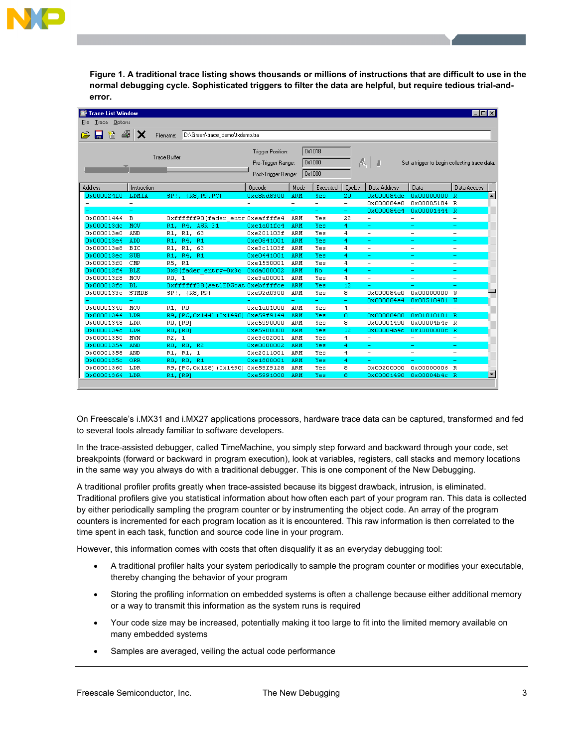

**Figure 1. A traditional trace listing shows thousands or millions of instructions that are difficult to use in the normal debugging cycle. Sophisticated triggers to filter the data are helpful, but require tedious trial-anderror.** 

| Trace List Window<br>$\Box$ d $\mathbf{x}$                                                                                                                                 |                          |                                             |            |                          |                          |                          |                          |                          |                          |                          |
|----------------------------------------------------------------------------------------------------------------------------------------------------------------------------|--------------------------|---------------------------------------------|------------|--------------------------|--------------------------|--------------------------|--------------------------|--------------------------|--------------------------|--------------------------|
| Trace Options<br>File                                                                                                                                                      |                          |                                             |            |                          |                          |                          |                          |                          |                          |                          |
|                                                                                                                                                                            |                          |                                             |            |                          |                          |                          |                          |                          |                          |                          |
| 日暮昼                                                                                                                                                                        | X                        | D:\Green\trace_demo\txdemo.tra<br>Filename: |            |                          |                          |                          |                          |                          |                          |                          |
| 0x1018<br>Trigger Position:<br><b>Trace Buffer</b><br>A,<br>0x1000<br>Pre-Trigger Range:<br>Set a trigger to begin collecting trace data.<br>0x1000<br>Post-Trigger Range: |                          |                                             |            |                          |                          |                          |                          |                          |                          |                          |
| <b>Address</b>                                                                                                                                                             | Instruction              |                                             | Opcode     | Mode                     | Executed                 | Cycles                   | Data Address             | Data                     | Data Access              |                          |
| 0x000024f0                                                                                                                                                                 | LDMIA                    | SP!, {R8, R9, PC}                           | 0xe8bd8300 | ARM                      | Yes                      | 20                       | 0x000084dc               | 0x00000000 R             |                          | $\blacktriangle$         |
|                                                                                                                                                                            | $\overline{\phantom{0}}$ |                                             |            | $\overline{\phantom{0}}$ | $\overline{\phantom{0}}$ | $\overline{\phantom{a}}$ | 0x000084e0               | 0x00005184 R             |                          |                          |
|                                                                                                                                                                            |                          |                                             |            | ۰                        | ۰                        | ۰                        | 0x000084e4               | 0x00001444 R             |                          |                          |
| 0x00001444                                                                                                                                                                 | в                        | Oxffffff90(fader entr Oxeaffffe4            |            | ARM                      | Yes                      | 22                       | $\overline{\phantom{0}}$ | $\overline{\phantom{a}}$ | $\overline{a}$           |                          |
| 0x000013dc                                                                                                                                                                 | MOV                      | R1, R4, ASR 31                              | 0xe1a01fc4 | ARM                      | Yes                      | 4                        |                          |                          | ۳                        |                          |
| 0x000013e0                                                                                                                                                                 | AND                      | R1, R1, 63                                  | 0xe201103f | ARM                      | Yes                      | 4                        | $\overline{\phantom{a}}$ | $\overline{\phantom{a}}$ | $\overline{\phantom{0}}$ |                          |
| 0x000013e4                                                                                                                                                                 | ADD                      | R1, R4, R1                                  | 0xe0841001 | ARM                      | Yes                      | 4                        |                          |                          | ۳                        |                          |
| 0x000013e8                                                                                                                                                                 | BIC                      | R1, R1, 63                                  | Oxe3c1103f | ARM                      | Yes                      | $\overline{4}$           | $\overline{\phantom{0}}$ | $\overline{\phantom{a}}$ | $\qquad \qquad -$        |                          |
| 0x000013ec                                                                                                                                                                 | SUB                      | R1, R4, R1                                  | 0xe0441001 | ARM                      | Yes                      | 4                        |                          |                          |                          |                          |
| 0x000013f0                                                                                                                                                                 | CMP                      | R5, R1                                      | 0xe1550001 | ARM                      | Yes                      | $\overline{4}$           |                          | $\overline{\phantom{0}}$ | L,                       |                          |
| 0x000013f4                                                                                                                                                                 | <b>BLE</b>               | Ox8(fader entry+0x3c Oxda000002             |            | ARM                      | No                       | 4                        |                          |                          |                          |                          |
| 0x000013f8                                                                                                                                                                 | NOV                      | RO, 1                                       | Oxe3a00001 | ARM                      | Yes                      | $\overline{4}$           | $\overline{\phantom{0}}$ | $\overline{\phantom{0}}$ | $\overline{\phantom{0}}$ |                          |
| 0x000013fc                                                                                                                                                                 | <b>BL</b>                | Oxfffffff38(setLEDStat Oxebffffce           |            | ARM                      | Yes                      | 12                       |                          |                          |                          |                          |
| 0x0000133c                                                                                                                                                                 | STMDB                    | SP!, (R8, R9)                               | 0xe92d0300 | ARM                      | Yes                      | 8                        | 0x000084e0               | 0x00000000               | IJ                       |                          |
|                                                                                                                                                                            | ۳                        |                                             |            | ÷,                       | ۳                        | ÷                        | 0x000084e4               | Ox00518401 W             |                          |                          |
| 0x00001340                                                                                                                                                                 | <b>NOV</b>               | R1, RO                                      | 0xe1a01000 | ARM                      | Yes                      | 4                        | $\overline{\phantom{a}}$ |                          | ÷                        |                          |
| 0x00001344                                                                                                                                                                 | LDR                      | R9, [PC, 0x144] (0x1490) 0xe59f9144         |            | ARM                      | Yes                      | 8                        | 0x00008480               | 0x01010101 R             |                          |                          |
| 0x00001348                                                                                                                                                                 | LDR                      | RO, [R9]                                    | 0xe5990000 | ARM                      | Yes                      | 8                        | 0x00001490               | 0x00004b4c R             |                          |                          |
| 0x0000134c                                                                                                                                                                 | LDR                      | RO, [RO]                                    | 0xe5900000 | ARM                      | Yes                      | 12                       | 0x00004b4c               | 0x1000000c R             |                          |                          |
| 0x00001350                                                                                                                                                                 | <b>MVN</b>               | R2, 1                                       | Oxe3e02001 | ARM                      | Yes                      | $\overline{4}$           | $\overline{\phantom{0}}$ | $\overline{\phantom{a}}$ | $\qquad \qquad -$        |                          |
| 0x00001354                                                                                                                                                                 | <b>AND</b>               | RO, RO, R2                                  | 0xe0000002 | ARM                      | Yes                      | $\overline{4}$           | ÷.                       | ۳                        | ÷                        |                          |
| 0x00001358                                                                                                                                                                 | AND                      | R1, R1, 1                                   | 0xe2011001 | ARM                      | Yes                      | $\overline{4}$           | $\overline{\phantom{a}}$ | $\overline{\phantom{0}}$ | $\overline{\phantom{0}}$ |                          |
| 0x0000135c                                                                                                                                                                 | ORR                      | RO, RO, R1                                  | 0xe1800001 | ARM                      | Yes                      | 4                        |                          |                          | ۰                        |                          |
| 0x00001360                                                                                                                                                                 | LDR                      | R9, [PC, 0x128] (0x1490) 0xe59f9128         |            | ARM                      | Yes                      | 8                        | 0x00200000               | 0x00000006 R             |                          |                          |
| 0x00001364                                                                                                                                                                 | LDR                      | R1, [R9]                                    | 0xe5991000 | ARM                      | Yes                      | 8                        | 0x00001490               | 0x00004b4c R             |                          | $\overline{\phantom{a}}$ |
|                                                                                                                                                                            |                          |                                             |            |                          |                          |                          |                          |                          |                          |                          |

On Freescale's i.MX31 and i.MX27 applications processors, hardware trace data can be captured, transformed and fed to several tools already familiar to software developers.

In the trace-assisted debugger, called TimeMachine, you simply step forward and backward through your code, set breakpoints (forward or backward in program execution), look at variables, registers, call stacks and memory locations in the same way you always do with a traditional debugger. This is one component of the New Debugging.

A traditional profiler profits greatly when trace-assisted because its biggest drawback, intrusion, is eliminated. Traditional profilers give you statistical information about how often each part of your program ran. This data is collected by either periodically sampling the program counter or by instrumenting the object code. An array of the program counters is incremented for each program location as it is encountered. This raw information is then correlated to the time spent in each task, function and source code line in your program.

However, this information comes with costs that often disqualify it as an everyday debugging tool:

- ! A traditional profiler halts your system periodically to sample the program counter or modifies your executable, thereby changing the behavior of your program
- Storing the profiling information on embedded systems is often a challenge because either additional memory or a way to transmit this information as the system runs is required
- ! Your code size may be increased, potentially making it too large to fit into the limited memory available on many embedded systems
- Samples are averaged, veiling the actual code performance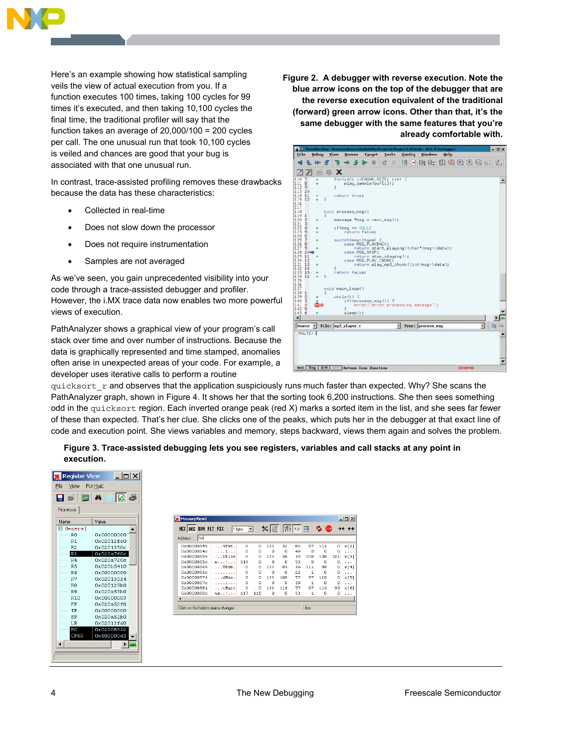

Here's an example showing how statistical sampling veils the view of actual execution from you. If a function executes 100 times, taking 100 cycles for 99 times it's executed, and then taking 10,100 cycles the final time, the traditional profiler will say that the function takes an average of 20,000/100 = 200 cycles per call. The one unusual run that took 10,100 cycles is veiled and chances are good that your bug is associated with that one unusual run.

In contrast, trace-assisted profiling removes these drawbacks because the data has these characteristics:

- Collected in real-time
- Does not slow down the processor
- Does not require instrumentation
- Samples are not averaged

As we've seen, you gain unprecedented visibility into your code through a trace-assisted debugger and profiler. However, the i.MX trace data now enables two more powerful views of execution.

PathAnalyzer shows a graphical view of your program's call stack over time and over number of instructions. Because the data is graphically represented and time stamped, anomalies often arise in unexpected areas of your code. For example, a developer uses iterative calls to perform a routine

**Figure 2. A debugger with reverse execution. Note the blue arrow icons on the top of the debugger that are the reverse execution equivalent of the traditional (forward) green arrow icons. Other than that, it's the same debugger with the same features that you're already comfortable with.**

 $quicksort$   $r$  and observes that the application suspiciously runs much faster than expected. Why? She scans the PathAnalyzer graph, shown in Figure 4. It shows her that the sorting took 6,200 instructions. She then sees something odd in the quicksort region. Each inverted orange peak (red X) marks a sorted item in the list, and she sees far fewer of these than expected. That's her clue. She clicks one of the peaks, which puts her in the debugger at that exact line of code and execution point. She views variables and memory, steps backward, views them again and solves the problem.

**Figure 3. Trace-assisted debugging lets you see registers, variables and call stacks at any point in execution.** 

| <b>Register View</b> |            |   |                                     |                       |
|----------------------|------------|---|-------------------------------------|-----------------------|
| File<br>View         | Format     |   |                                     |                       |
| mi                   | đФ<br>। ದಿ | 4 |                                     |                       |
| Processor            |            |   |                                     |                       |
| Name                 | Value      |   | MemoryView1                         |                       |
| E General            |            |   | HEX DEC BIN FLT FIX                 |                       |
| R <sub>O</sub>       | 0x00000000 |   | list<br>Address:                    |                       |
| R1                   | 0x02012fc0 |   |                                     |                       |
| R <sub>2</sub>       | 0x0201350c |   | 0x00008544                          | $\ldots$ 4Pat.        |
| R <sub>3</sub>       | 0x020a760c |   | 0x0000854c<br>0x00008554            | . 1<br>$\ldots$ DElle |
| R <sub>4</sub>       | 0x020a720c |   | 0x0000855c                          | nasa Fasa             |
| R <sub>5</sub>       | 0x020b5410 |   | 0x00008564                          | $\ldots$ TBob.        |
| R6                   | 0x00000000 |   | 0x0000856c                          |                       |
| R7                   | 0x02013024 |   | 0x00008574                          | $\ldots$ dfax.        |
| R <sub>8</sub>       | 0x020129b8 |   | 0x0000857c                          | .                     |
| R <sub>9</sub>       | 0x020a53b0 |   | 0x00008584<br>0x0000858c            | tMarc<br>us!          |
| R10                  | 0x00000003 |   |                                     |                       |
| FP                   | 0x020a52f8 |   |                                     |                       |
| <b>TP</b>            | 0x00000000 |   | Click on the fields to make changes |                       |
| SP                   | 0x020a52b0 |   |                                     |                       |
| LR                   | 0x02013fd0 |   |                                     |                       |
| PC                   | 0x0200832c |   |                                     |                       |
| CPSR                 | 0x800000d3 |   |                                     |                       |
|                      |            |   |                                     |                       |
|                      |            |   |                                     |                       |

| $-10x$<br>demoryView1                     |      |                    |          |          |          |          |                |              |                  |         |          |
|-------------------------------------------|------|--------------------|----------|----------|----------|----------|----------------|--------------|------------------|---------|----------|
|                                           |      | EX DEC BIN FLT FIX | 1 byte   |          | $\times$ |          | $989 \times y$ | 眉            | Ф<br><b>STOP</b> |         |          |
| dress:                                    | list |                    |          |          |          |          |                |              |                  |         |          |
| 1x00008544                                |      | $\ldots$ 4Pat.     | $\Omega$ | $\Omega$ | 133      | 52       | 80             | 97           | 116              | o       | x[2]     |
| 3x0000854c                                |      | . 1                | $\circ$  | $\circ$  | $\circ$  | $\cup$   | 49             | $\circ$      | о                | $\circ$ | .        |
| Dx00008554                                |      | $\ldots$ DElle     | o        | $\circ$  | 133      | 68       | 69             | 108          | 108              | 101     | x[3]     |
| 0x0000855c                                |      | $n_{1}$ ,          | 110      | 0        | 0        | 0        | 33             | n            | n                | ٥       | $\cdots$ |
| 1x00008564                                |      | $\ldots$ TBob.     | 0        | 0        | 133      | 84       | 66             | 111          | 98               | 0       | x[4]     |
| 3x0000856c                                |      | 1.1.1.1            | Ō        | $\Omega$ | $\Omega$ | $\Omega$ | 22             | 1            | $\Omega$         | o       | .        |
| 3x00008574                                |      | $\ldots$ dex.      | $\circ$  | 0        | 133      | 100      | 77             | 97           | 120              | $\circ$ | x[5]     |
| Dx0000857c                                |      | . <i>.</i>         | n        | n        | $\circ$  | $\circ$  | 59             | $\mathbf{1}$ | n                | $\circ$ | $\cdots$ |
| Dx00008584                                |      | tMarc              | $\circ$  | n        | 133      | 116      | 77             | 97           | 114              | 99      | x[6]     |
| 0x0000858c                                |      | us!                | 117      | 115      | 0        | 0        | 33             | 1            | $\Omega$         | 0       | .        |
|                                           |      |                    |          |          |          |          |                |              |                  |         |          |
| ick on the fields to make changes<br>.bss |      |                    |          |          |          |          |                |              |                  |         |          |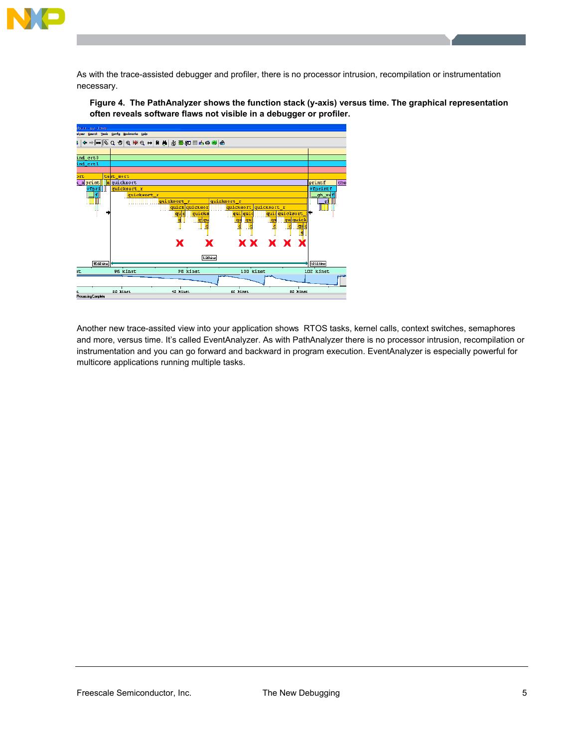

As with the trace-assisted debugger and profiler, there is no processor intrusion, recompilation or instrumentation necessary.

**Figure 4. The PathAnalyzer shows the function stack (y-axis) versus time. The graphical representation often reveals software flaws not visible in a debugger or profiler.** 



Another new trace-assited view into your application shows RTOS tasks, kernel calls, context switches, semaphores and more, versus time. It's called EventAnalyzer. As with PathAnalyzer there is no processor intrusion, recompilation or instrumentation and you can go forward and backward in program execution. EventAnalyzer is especially powerful for multicore applications running multiple tasks.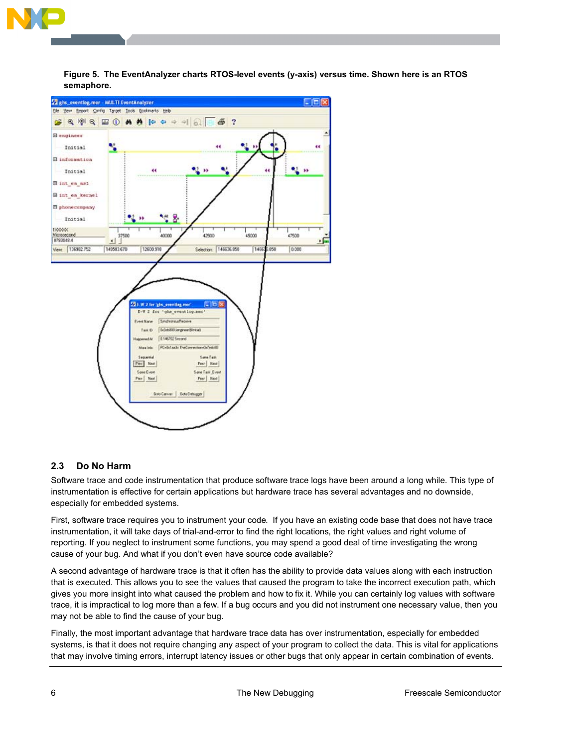![](_page_7_Picture_0.jpeg)

![](_page_7_Figure_1.jpeg)

**Figure 5. The EventAnalyzer charts RTOS-level events (y-axis) versus time. Shown here is an RTOS semaphore.** 

### **2.3 Do No Harm**

Software trace and code instrumentation that produce software trace logs have been around a long while. This type of instrumentation is effective for certain applications but hardware trace has several advantages and no downside, especially for embedded systems.

First, software trace requires you to instrument your code. If you have an existing code base that does not have trace instrumentation, it will take days of trial-and-error to find the right locations, the right values and right volume of reporting. If you neglect to instrument some functions, you may spend a good deal of time investigating the wrong cause of your bug. And what if you don't even have source code available?

A second advantage of hardware trace is that it often has the ability to provide data values along with each instruction that is executed. This allows you to see the values that caused the program to take the incorrect execution path, which gives you more insight into what caused the problem and how to fix it. While you can certainly log values with software trace, it is impractical to log more than a few. If a bug occurs and you did not instrument one necessary value, then you may not be able to find the cause of your bug.

Finally, the most important advantage that hardware trace data has over instrumentation, especially for embedded systems, is that it does not require changing any aspect of your program to collect the data. This is vital for applications that may involve timing errors, interrupt latency issues or other bugs that only appear in certain combination of events.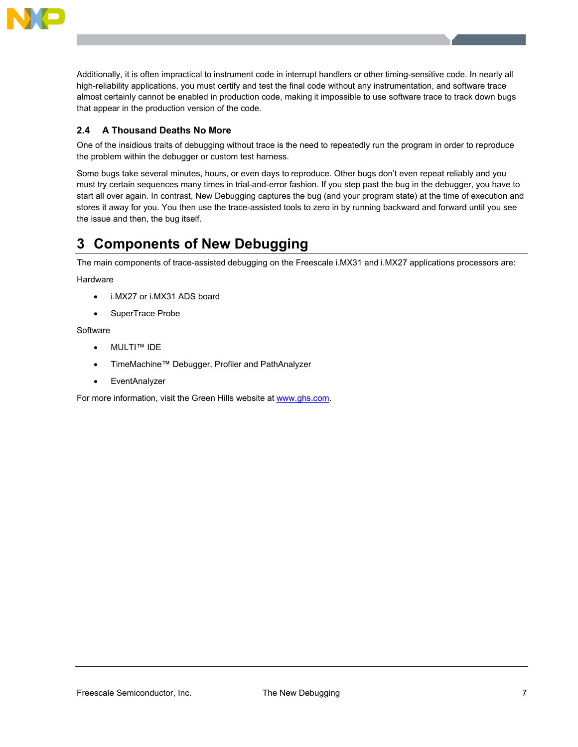![](_page_8_Picture_0.jpeg)

Additionally, it is often impractical to instrument code in interrupt handlers or other timing-sensitive code. In nearly all high-reliability applications, you must certify and test the final code without any instrumentation, and software trace almost certainly cannot be enabled in production code, making it impossible to use software trace to track down bugs that appear in the production version of the code.

### **2.4 A Thousand Deaths No More**

One of the insidious traits of debugging without trace is the need to repeatedly run the program in order to reproduce the problem within the debugger or custom test harness.

Some bugs take several minutes, hours, or even days to reproduce. Other bugs don't even repeat reliably and you must try certain sequences many times in trial-and-error fashion. If you step past the bug in the debugger, you have to start all over again. In contrast, New Debugging captures the bug (and your program state) at the time of execution and stores it away for you. You then use the trace-assisted tools to zero in by running backward and forward until you see the issue and then, the bug itself.

# **3 Components of New Debugging**

The main components of trace-assisted debugging on the Freescale i.MX31 and i.MX27 applications processors are:

**Hardware** 

- i.MX27 or i.MX31 ADS board
- SuperTrace Probe

#### **Software**

- MULTI™ IDE
- ! TimeMachine™ Debugger, Profiler and PathAnalyzer
- EventAnalyzer

For more information, visit the Green Hills website at www.ghs.com.